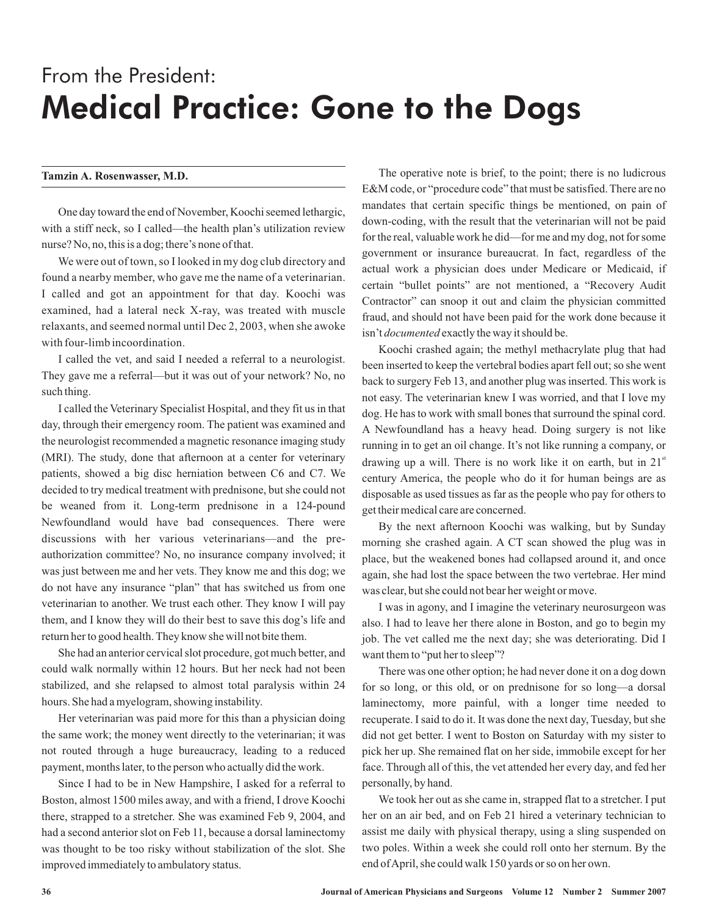# From the President: Medical Practice: Gone to the Dogs

### **Tamzin A. Rosenwasser, M.D.**

One day toward the end of November, Koochi seemed lethargic, with a stiff neck, so I called—the health plan's utilization review nurse? No, no, this is a dog; there's none of that.

We were out of town, so I looked in my dog club directory and found a nearby member, who gave me the name of a veterinarian. I called and got an appointment for that day. Koochi was examined, had a lateral neck X-ray, was treated with muscle relaxants, and seemed normal until Dec 2, 2003, when she awoke with four-limb incoordination.

I called the vet, and said I needed a referral to a neurologist. They gave me a referral—but it was out of your network? No, no such thing.

I called the Veterinary Specialist Hospital, and they fit us in that day, through their emergency room. The patient was examined and the neurologist recommended a magnetic resonance imaging study (MRI). The study, done that afternoon at a center for veterinary patients, showed a big disc herniation between C6 and C7. We decided to try medical treatment with prednisone, but she could not be weaned from it. Long-term prednisone in a 124-pound Newfoundland would have bad consequences. There were discussions with her various veterinarians—and the preauthorization committee? No, no insurance company involved; it was just between me and her vets. They know me and this dog; we do not have any insurance "plan" that has switched us from one veterinarian to another. We trust each other. They know I will pay them, and I know they will do their best to save this dog's life and return her to good health. They know she will not bite them.

She had an anterior cervical slot procedure, got much better, and could walk normally within 12 hours. But her neck had not been stabilized, and she relapsed to almost total paralysis within 24 hours. She had a myelogram, showing instability.

Her veterinarian was paid more for this than a physician doing the same work; the money went directly to the veterinarian; it was not routed through a huge bureaucracy, leading to a reduced payment, months later, to the person who actually did the work.

Since I had to be in New Hampshire, I asked for a referral to Boston, almost 1500 miles away, and with a friend, I drove Koochi there, strapped to a stretcher. She was examined Feb 9, 2004, and had a second anterior slot on Feb 11, because a dorsal laminectomy was thought to be too risky without stabilization of the slot. She improved immediately to ambulatory status.

The operative note is brief, to the point; there is no ludicrous E&M code, or "procedure code" that must be satisfied. There are no mandates that certain specific things be mentioned, on pain of down-coding, with the result that the veterinarian will not be paid for the real, valuable work he did—for me and my dog, not for some government or insurance bureaucrat. In fact, regardless of the actual work a physician does under Medicare or Medicaid, if certain "bullet points" are not mentioned, a "Recovery Audit Contractor" can snoop it out and claim the physician committed fraud, and should not have been paid for the work done because it isn't *documented* exactly the way it should be.

Koochi crashed again; the methyl methacrylate plug that had been inserted to keep the vertebral bodies apart fell out; so she went back to surgery Feb 13, and another plug was inserted. This work is not easy. The veterinarian knew I was worried, and that I love my dog. He has to work with small bones that surround the spinal cord. A Newfoundland has a heavy head. Doing surgery is not like running in to get an oil change. It's not like running a company, or drawing up a will. There is no work like it on earth, but in 21<sup>st</sup> century America, the people who do it for human beings are as disposable as used tissues as far as the people who pay for others to get their medical care are concerned.

By the next afternoon Koochi was walking, but by Sunday morning she crashed again. A CT scan showed the plug was in place, but the weakened bones had collapsed around it, and once again, she had lost the space between the two vertebrae. Her mind was clear, but she could not bear her weight or move.

I was in agony, and I imagine the veterinary neurosurgeon was also. I had to leave her there alone in Boston, and go to begin my job. The vet called me the next day; she was deteriorating. Did I want them to "put her to sleep"?

There was one other option; he had never done it on a dog down for so long, or this old, or on prednisone for so long—a dorsal laminectomy, more painful, with a longer time needed to recuperate. I said to do it. It was done the next day, Tuesday, but she did not get better. I went to Boston on Saturday with my sister to pick her up. She remained flat on her side, immobile except for her face. Through all of this, the vet attended her every day, and fed her personally, by hand.

We took her out as she came in, strapped flat to a stretcher. I put her on an air bed, and on Feb 21 hired a veterinary technician to assist me daily with physical therapy, using a sling suspended on two poles. Within a week she could roll onto her sternum. By the end ofApril, she could walk 150 yards or so on her own.